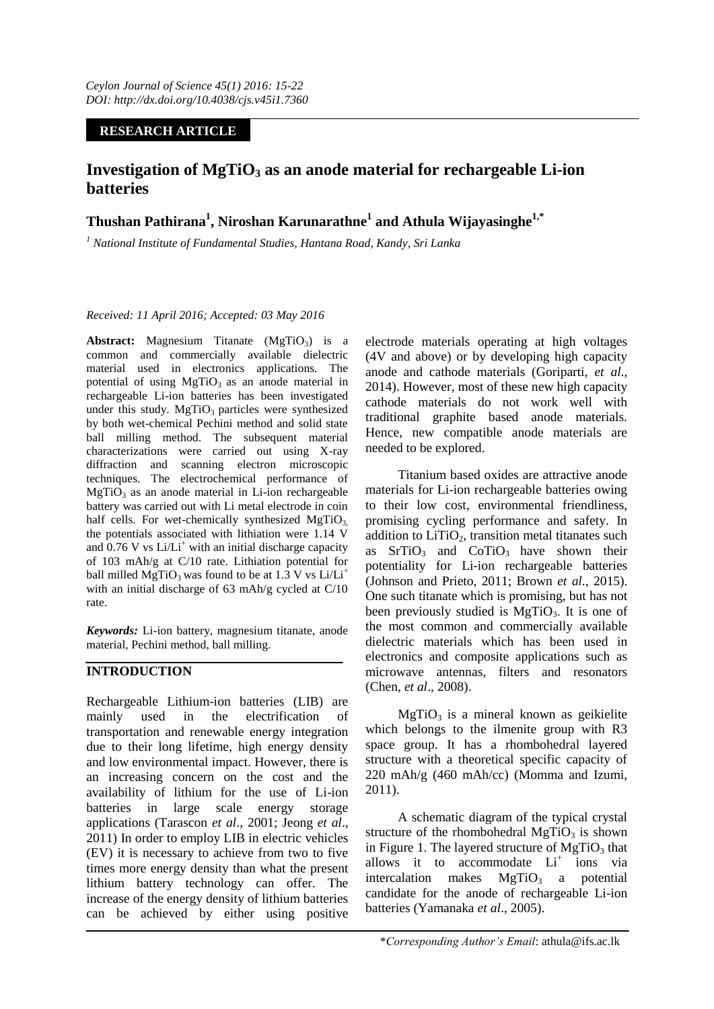#### **RESEARCH ARTICLE**

# **Investigation of MgTiO<sup>3</sup> as an anode material for rechargeable Li-ion batteries**

# **Thushan Pathirana<sup>1</sup> , Niroshan Karunarathne<sup>1</sup> and Athula Wijayasinghe1,\***

*<sup>1</sup> National Institute of Fundamental Studies, Hantana Road, Kandy, Sri Lanka*

*Received: 11 April 2016; Accepted: 03 May 2016*

Abstract: Magnesium Titanate (MgTiO<sub>3</sub>) is a common and commercially available dielectric material used in electronics applications. The potential of using  $MgTiO<sub>3</sub>$  as an anode material in rechargeable Li-ion batteries has been investigated under this study.  $MgTiO<sub>3</sub>$  particles were synthesized by both wet-chemical Pechini method and solid state ball milling method. The subsequent material characterizations were carried out using X-ray diffraction and scanning electron microscopic techniques. The electrochemical performance of  $MgTiO<sub>3</sub>$  as an anode material in Li-ion rechargeable battery was carried out with Li metal electrode in coin half cells. For wet-chemically synthesized  $MgTiO<sub>3</sub>$ the potentials associated with lithiation were 1.14 V and  $0.76$  V vs Li/Li<sup>+</sup> with an initial discharge capacity of 103 mAh/g at C/10 rate. Lithiation potential for ball milled MgTiO<sub>3</sub> was found to be at 1.3 V vs Li/Li<sup>+</sup> with an initial discharge of 63 mAh/g cycled at C/10 rate.

*Keywords:* Li-ion battery, magnesium titanate, anode material, Pechini method, ball milling.

## **INTRODUCTION**

Rechargeable Lithium-ion batteries (LIB) are mainly used in the electrification of transportation and renewable energy integration due to their long lifetime, high energy density and low environmental impact. However, there is an increasing concern on the cost and the availability of lithium for the use of Li-ion batteries in large scale energy storage applications (Tarascon *et al*., 2001; Jeong *et al*., 2011) In order to employ LIB in electric vehicles (EV) it is necessary to achieve from two to five times more energy density than what the present lithium battery technology can offer. The increase of the energy density of lithium batteries can be achieved by either using positive

electrode materials operating at high voltages (4V and above) or by developing high capacity anode and cathode materials (Goriparti, *et al*., 2014). However, most of these new high capacity cathode materials do not work well with traditional graphite based anode materials. Hence, new compatible anode materials are needed to be explored.

Titanium based oxides are attractive anode materials for Li-ion rechargeable batteries owing to their low cost, environmental friendliness, promising cycling performance and safety. In addition to  $LiTiO<sub>2</sub>$ , transition metal titanates such as  $SrTiO<sub>3</sub>$  and  $CoTiO<sub>3</sub>$  have shown their potentiality for Li-ion rechargeable batteries (Johnson and Prieto, 2011; Brown *et al*., 2015). One such titanate which is promising, but has not been previously studied is  $MgTiO<sub>3</sub>$ . It is one of the most common and commercially available dielectric materials which has been used in electronics and composite applications such as microwave antennas, filters and resonators (Chen, *et al*., 2008).

 $MgTiO<sub>3</sub>$  is a mineral known as geikielite which belongs to the ilmenite group with R3 space group. It has a rhombohedral layered structure with a theoretical specific capacity of 220 mAh/g (460 mAh/cc) (Momma and Izumi, 2011).

A schematic diagram of the typical crystal structure of the rhombohedral MgTiO<sub>3</sub> is shown in Figure 1. The layered structure of  $MgTiO<sub>3</sub>$  that allows it to accommodate Li<sup>+</sup> ions via intercalation makes  $MgTiO<sub>3</sub>$  a potential candidate for the anode of rechargeable Li-ion batteries (Yamanaka *et al*., 2005).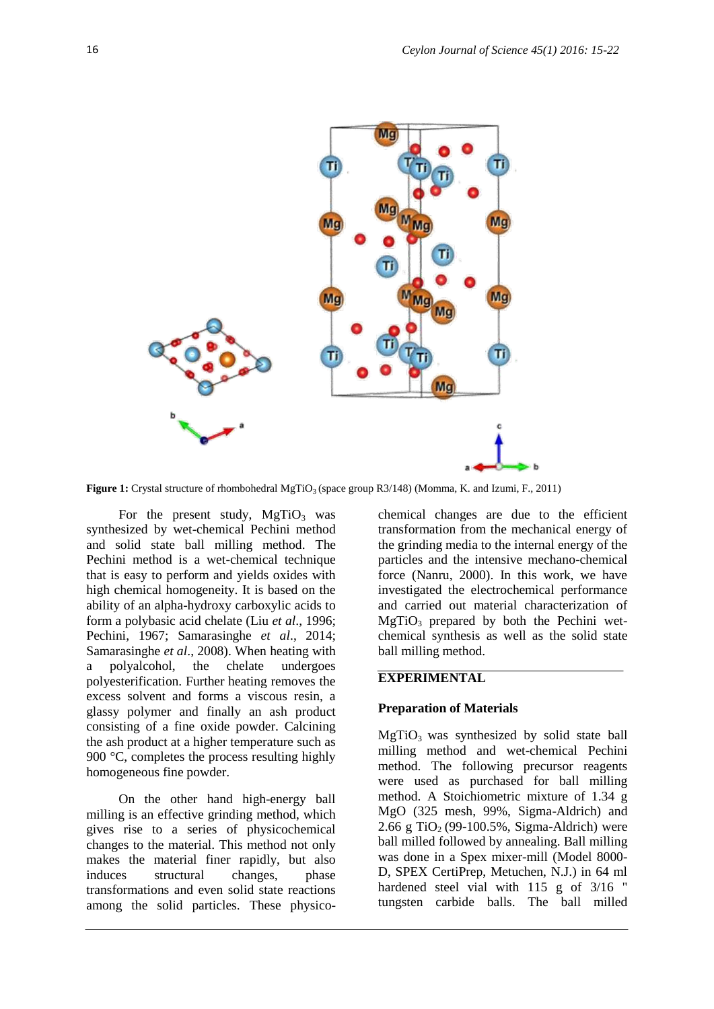

**Figure 1:** Crystal structure of rhombohedral MgTiO<sub>3</sub> (space group R3/148) (Momma, K. and Izumi, F., 2011)

For the present study,  $MgTiO<sub>3</sub>$  was synthesized by wet-chemical Pechini method and solid state ball milling method. The Pechini method is a wet-chemical technique that is easy to perform and yields oxides with high chemical homogeneity. It is based on the ability of an alpha-hydroxy carboxylic acids to form a polybasic acid chelate (Liu *et al*., 1996; Pechini, 1967; Samarasinghe *et al*., 2014; Samarasinghe *et al*., 2008). When heating with a polyalcohol, the chelate undergoes polyesterification. Further heating removes the excess solvent and forms a viscous resin, a glassy polymer and finally an ash product consisting of a fine oxide powder. Calcining the ash product at a higher temperature such as 900 °C, completes the process resulting highly homogeneous fine powder.

On the other hand high-energy ball milling is an effective grinding method, which gives rise to a series of physicochemical changes to the material. This method not only makes the material finer rapidly, but also induces structural changes, phase transformations and even solid state reactions among the solid particles. These physicochemical changes are due to the efficient transformation from the mechanical energy of the grinding media to the internal energy of the particles and the intensive mechano-chemical force (Nanru, 2000). In this work, we have investigated the electrochemical performance and carried out material characterization of  $MgTiO<sub>3</sub>$  prepared by both the Pechini wetchemical synthesis as well as the solid state ball milling method.

#### **EXPERIMENTAL**

#### **Preparation of Materials**

 $MgTiO<sub>3</sub>$  was synthesized by solid state ball milling method and wet-chemical Pechini method. The following precursor reagents were used as purchased for ball milling method. A Stoichiometric mixture of 1.34 g MgO (325 mesh, 99%, Sigma-Aldrich) and 2.66 g TiO<sub>2</sub> (99-100.5%, Sigma-Aldrich) were ball milled followed by annealing. Ball milling was done in a Spex mixer-mill (Model 8000- D, SPEX CertiPrep, Metuchen, N.J.) in 64 ml hardened steel vial with 115 g of 3/16 " tungsten carbide balls. The ball milled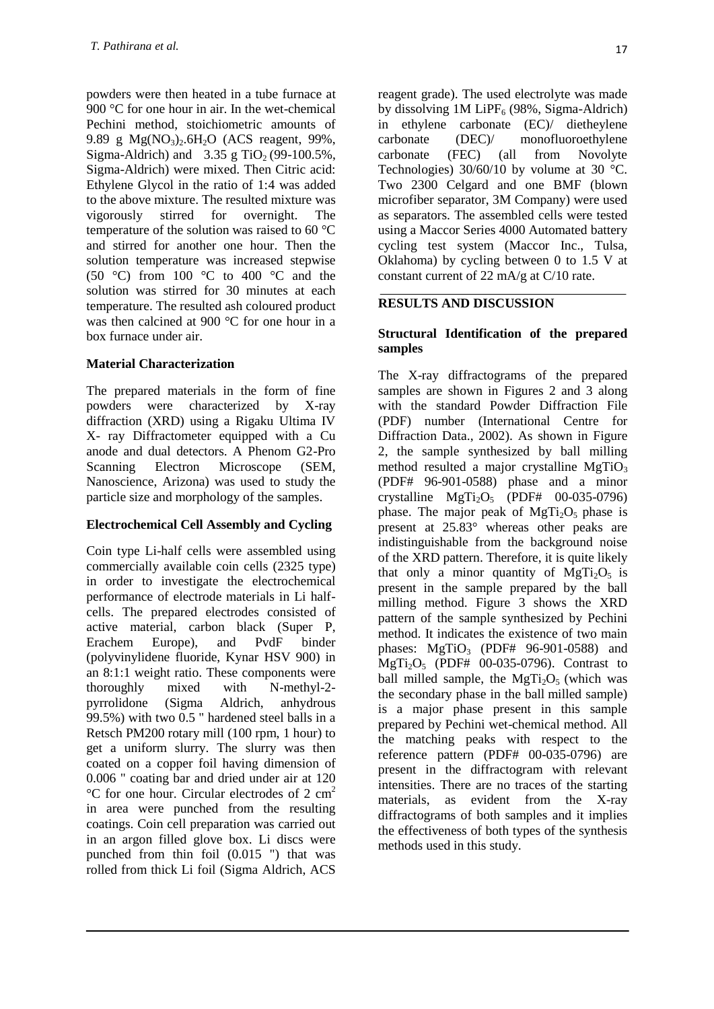powders were then heated in a tube furnace at 900 °C for one hour in air. In the wet-chemical Pechini method, stoichiometric amounts of 9.89 g  $Mg(NO_3)$ .6H<sub>2</sub>O (ACS reagent, 99%, Sigma-Aldrich) and  $3.35$  g TiO<sub>2</sub> (99-100.5%, Sigma-Aldrich) were mixed. Then Citric acid: Ethylene Glycol in the ratio of 1:4 was added to the above mixture. The resulted mixture was vigorously stirred for overnight. The temperature of the solution was raised to 60 °C and stirred for another one hour. Then the solution temperature was increased stepwise (50 °C) from 100 °C to 400 °C and the solution was stirred for 30 minutes at each temperature. The resulted ash coloured product was then calcined at 900 °C for one hour in a box furnace under air.

## **Material Characterization**

The prepared materials in the form of fine powders were characterized by X-ray diffraction (XRD) using a Rigaku Ultima IV X- ray Diffractometer equipped with a Cu anode and dual detectors. A Phenom G2-Pro Scanning Electron Microscope (SEM, Nanoscience, Arizona) was used to study the particle size and morphology of the samples.

## **Electrochemical Cell Assembly and Cycling**

Coin type Li-half cells were assembled using commercially available coin cells (2325 type) in order to investigate the electrochemical performance of electrode materials in Li halfcells. The prepared electrodes consisted of active material, carbon black (Super P, Erachem Europe), and PvdF binder (polyvinylidene fluoride, Kynar HSV 900) in an 8:1:1 weight ratio. These components were thoroughly mixed with N-methyl-2 pyrrolidone (Sigma Aldrich, anhydrous 99.5%) with two 0.5 " hardened steel balls in a Retsch PM200 rotary mill (100 rpm, 1 hour) to get a uniform slurry. The slurry was then coated on a copper foil having dimension of 0.006 " coating bar and dried under air at 120  $\rm{^{\circ}C}$  for one hour. Circular electrodes of 2 cm<sup>2</sup> in area were punched from the resulting coatings. Coin cell preparation was carried out in an argon filled glove box. Li discs were punched from thin foil (0.015 ") that was rolled from thick Li foil (Sigma Aldrich, ACS

reagent grade). The used electrolyte was made by dissolving  $1M$  LiPF<sub>6</sub> (98%, Sigma-Aldrich) in ethylene carbonate (EC)/ dietheylene carbonate (DEC)/ monofluoroethylene carbonate (FEC) (all from Novolyte Technologies) 30/60/10 by volume at 30 °C. Two 2300 Celgard and one BMF (blown microfiber separator, 3M Company) were used as separators. The assembled cells were tested using a Maccor Series 4000 Automated battery cycling test system (Maccor Inc., Tulsa, Oklahoma) by cycling between 0 to 1.5 V at constant current of 22 mA/g at C/10 rate.

# **RESULTS AND DISCUSSION**

## **Structural Identification of the prepared samples**

The X-ray diffractograms of the prepared samples are shown in Figures 2 and 3 along with the standard Powder Diffraction File (PDF) number (International Centre for Diffraction Data., 2002). As shown in Figure 2, the sample synthesized by ball milling method resulted a major crystalline  $MgTiO<sub>3</sub>$ (PDF# 96-901-0588) phase and a minor crystalline  $MgTi<sub>2</sub>O<sub>5</sub>$  (PDF# 00-035-0796) phase. The major peak of  $MgTi<sub>2</sub>O<sub>5</sub>$  phase is present at 25.83° whereas other peaks are indistinguishable from the background noise of the XRD pattern. Therefore, it is quite likely that only a minor quantity of  $MgTi<sub>2</sub>O<sub>5</sub>$  is present in the sample prepared by the ball milling method. Figure 3 shows the XRD pattern of the sample synthesized by Pechini method. It indicates the existence of two main phases:  $MgTiO<sub>3</sub>$  (PDF# 96-901-0588) and  $MgTi<sub>2</sub>O<sub>5</sub>$  (PDF# 00-035-0796). Contrast to ball milled sample, the MgTi<sub>2</sub>O<sub>5</sub> (which was the secondary phase in the ball milled sample) is a major phase present in this sample prepared by Pechini wet-chemical method. All the matching peaks with respect to the reference pattern (PDF# 00-035-0796) are present in the diffractogram with relevant intensities. There are no traces of the starting materials, as evident from the X-ray diffractograms of both samples and it implies the effectiveness of both types of the synthesis methods used in this study.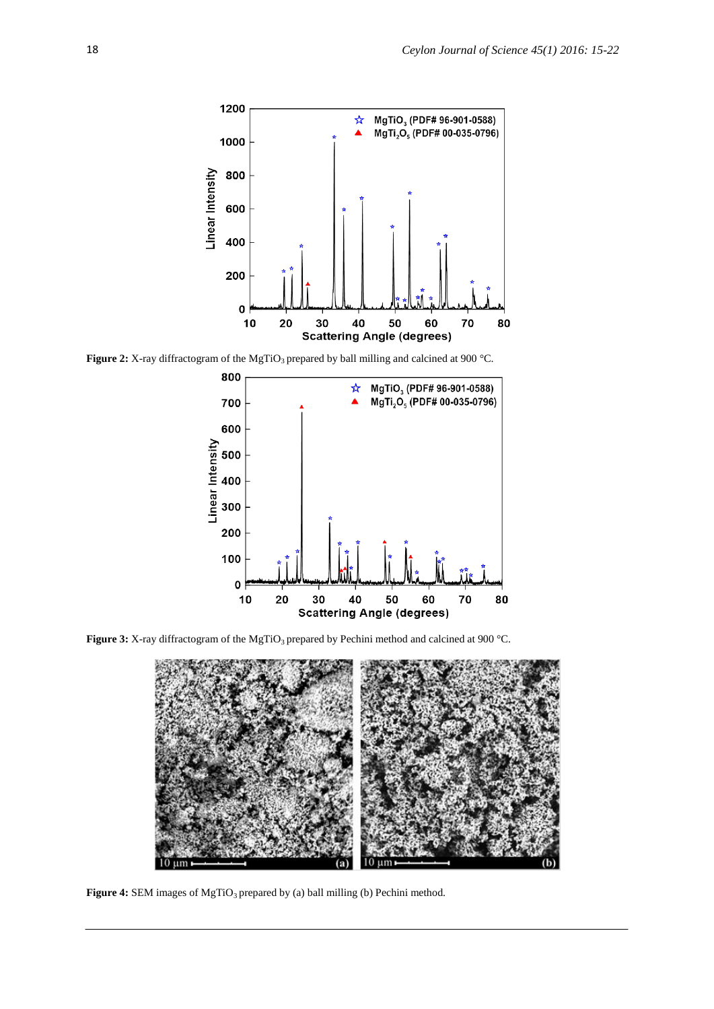

**Figure 2:** X-ray diffractogram of the MgTiO<sub>3</sub> prepared by ball milling and calcined at 900 °C.



**Figure 3:** X-ray diffractogram of the MgTiO<sub>3</sub> prepared by Pechini method and calcined at 900 °C.



Figure 4: SEM images of MgTiO<sub>3</sub> prepared by (a) ball milling (b) Pechini method.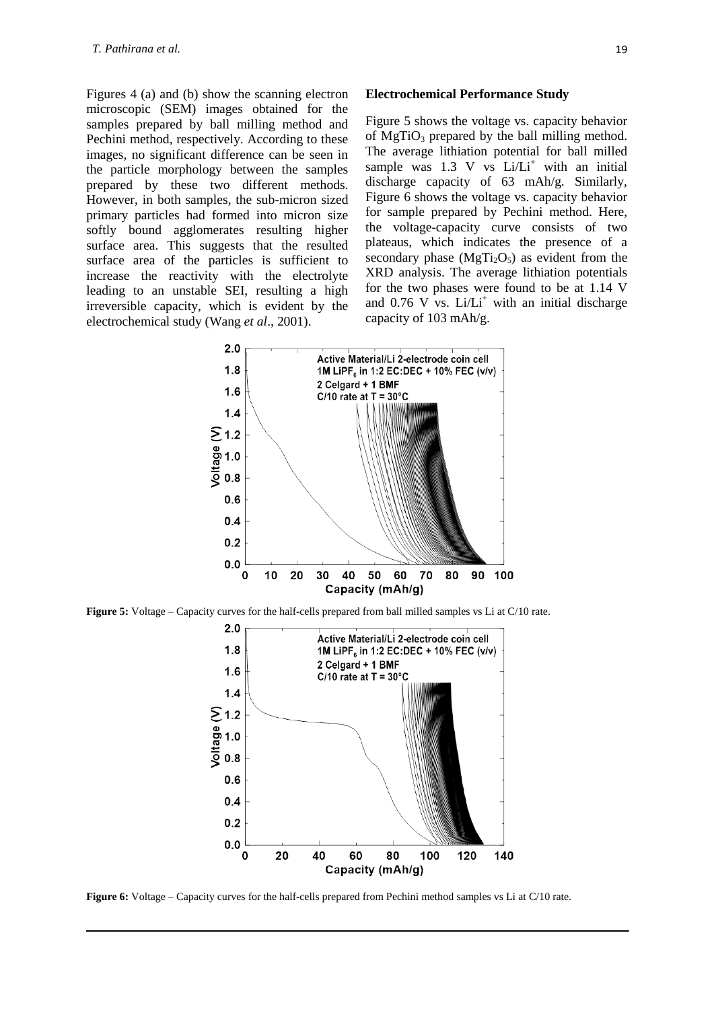Figures 4 (a) and (b) show the scanning electron microscopic (SEM) images obtained for the samples prepared by ball milling method and Pechini method, respectively. According to these images, no significant difference can be seen in the particle morphology between the samples prepared by these two different methods. However, in both samples, the sub-micron sized primary particles had formed into micron size softly bound agglomerates resulting higher surface area. This suggests that the resulted surface area of the particles is sufficient to increase the reactivity with the electrolyte leading to an unstable SEI, resulting a high irreversible capacity, which is evident by the electrochemical study (Wang *et al*., 2001).

#### **Electrochemical Performance Study**

Figure 5 shows the voltage vs. capacity behavior of  $MgTiO<sub>3</sub>$  prepared by the ball milling method. The average lithiation potential for ball milled sample was  $1.3$  V vs Li/Li<sup>+</sup> with an initial discharge capacity of 63 mAh/g. Similarly, Figure 6 shows the voltage vs. capacity behavior for sample prepared by Pechini method. Here, the voltage-capacity curve consists of two plateaus, which indicates the presence of a secondary phase  $(MgTi<sub>2</sub>O<sub>5</sub>)$  as evident from the XRD analysis. The average lithiation potentials for the two phases were found to be at 1.14 V and  $0.76$  V vs. Li/Li<sup>+</sup> with an initial discharge capacity of 103 mAh/g.



**Figure 5:** Voltage – Capacity curves for the half-cells prepared from ball milled samples vs Li at C/10 rate.



**Figure 6:** Voltage – Capacity curves for the half-cells prepared from Pechini method samples vs Li at C/10 rate.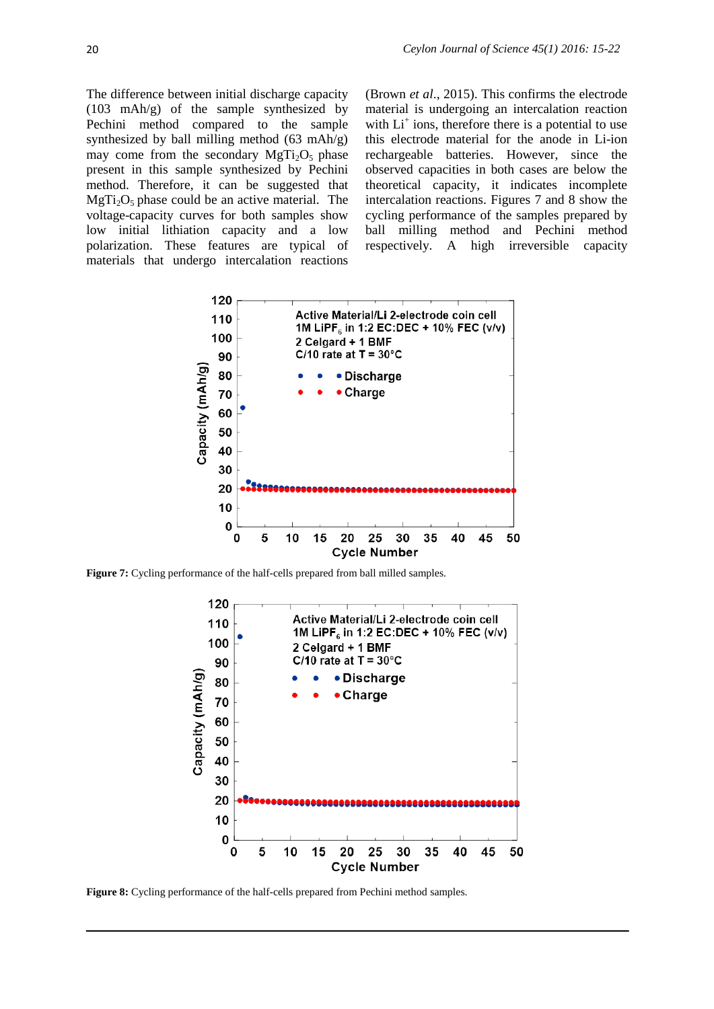The difference between initial discharge capacity (103 mAh/g) of the sample synthesized by Pechini method compared to the sample synthesized by ball milling method  $(63 \text{ mah/g})$ may come from the secondary  $MgTi<sub>2</sub>O<sub>5</sub>$  phase present in this sample synthesized by Pechini method. Therefore, it can be suggested that  $MgTi<sub>2</sub>O<sub>5</sub>$  phase could be an active material. The voltage-capacity curves for both samples show low initial lithiation capacity and a low polarization. These features are typical of materials that undergo intercalation reactions

(Brown *et al*., 2015). This confirms the electrode material is undergoing an intercalation reaction with  $Li<sup>+</sup>$  ions, therefore there is a potential to use this electrode material for the anode in Li-ion rechargeable batteries. However, since the observed capacities in both cases are below the theoretical capacity, it indicates incomplete intercalation reactions. Figures 7 and 8 show the cycling performance of the samples prepared by ball milling method and Pechini method respectively. A high irreversible capacity



**Figure 7:** Cycling performance of the half-cells prepared from ball milled samples.



**Figure 8:** Cycling performance of the half-cells prepared from Pechini method samples.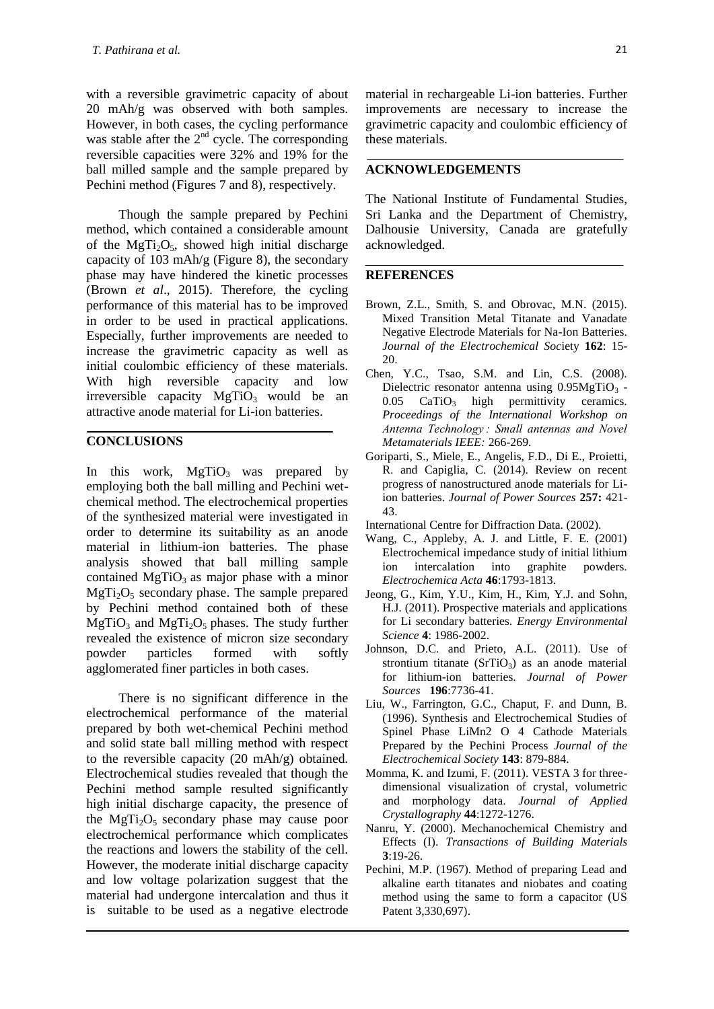with a reversible gravimetric capacity of about 20 mAh/g was observed with both samples. However, in both cases, the cycling performance was stable after the  $2<sup>nd</sup>$  cycle. The corresponding reversible capacities were 32% and 19% for the ball milled sample and the sample prepared by Pechini method (Figures 7 and 8), respectively.

Though the sample prepared by Pechini method, which contained a considerable amount of the MgTi<sub>2</sub>O<sub>5</sub>, showed high initial discharge capacity of 103 mAh/g (Figure 8), the secondary phase may have hindered the kinetic processes (Brown *et al*., 2015). Therefore, the cycling performance of this material has to be improved in order to be used in practical applications. Especially, further improvements are needed to increase the gravimetric capacity as well as initial coulombic efficiency of these materials. With high reversible capacity and low irreversible capacity  $MgTiO<sub>3</sub>$  would be an attractive anode material for Li-ion batteries.

#### **CONCLUSIONS**

In this work,  $MgTiO<sub>3</sub>$  was prepared by employing both the ball milling and Pechini wetchemical method. The electrochemical properties of the synthesized material were investigated in order to determine its suitability as an anode material in lithium-ion batteries. The phase analysis showed that ball milling sample contained  $MgTiO<sub>3</sub>$  as major phase with a minor  $MgTi<sub>2</sub>O<sub>5</sub>$  secondary phase. The sample prepared by Pechini method contained both of these  $MgTiO<sub>3</sub>$  and  $MgTi<sub>2</sub>O<sub>5</sub>$  phases. The study further revealed the existence of micron size secondary powder particles formed with softly agglomerated finer particles in both cases.

There is no significant difference in the electrochemical performance of the material prepared by both wet-chemical Pechini method and solid state ball milling method with respect to the reversible capacity (20 mAh/g) obtained. Electrochemical studies revealed that though the Pechini method sample resulted significantly high initial discharge capacity, the presence of the  $MgTi<sub>2</sub>O<sub>5</sub>$  secondary phase may cause poor electrochemical performance which complicates the reactions and lowers the stability of the cell. However, the moderate initial discharge capacity and low voltage polarization suggest that the material had undergone intercalation and thus it is suitable to be used as a negative electrode

material in rechargeable Li-ion batteries. Further improvements are necessary to increase the gravimetric capacity and coulombic efficiency of these materials.

#### **ACKNOWLEDGEMENTS**

The National Institute of Fundamental Studies, Sri Lanka and the Department of Chemistry, Dalhousie University, Canada are gratefully acknowledged.

#### **REFERENCES**

- Brown, Z.L., Smith, S. and Obrovac, M.N. (2015). Mixed Transition Metal Titanate and Vanadate Negative Electrode Materials for Na-Ion Batteries. *Journal of the Electrochemical Soc*iety **162**: 15- 20.
- Chen, Y.C., Tsao, S.M. and Lin, C.S. (2008). Dielectric resonator antenna using  $0.95MgTiO<sub>3</sub>$  - $0.05$  CaTiO<sub>3</sub> high permittivity ceramics. *Proceedings of the International Workshop on Antenna Technology : Small antennas and Novel Metamaterials IEEE:* 266-269.
- Goriparti, S., Miele, E., Angelis, F.D., Di E., Proietti, R. and Capiglia, C. (2014). Review on recent progress of nanostructured anode materials for Liion batteries. *Journal of Power Sources* **257:** 421- 43.
- International Centre for Diffraction Data. (2002).
- Wang, C., Appleby, A. J. and Little, F. E. (2001) Electrochemical impedance study of initial lithium ion intercalation into graphite powders. *Electrochemica Acta* **46**:1793-1813.
- Jeong, G., Kim, Y.U., Kim, H., Kim, Y.J. and Sohn, H.J. (2011). Prospective materials and applications for Li secondary batteries. *Energy Environmental Science* **4**: 1986-2002.
- Johnson, D.C. and Prieto, A.L. (2011). Use of strontium titanate  $(SrTiO<sub>3</sub>)$  as an anode material for lithium-ion batteries. *Journal of Power Sources* **196**:7736-41.
- Liu, W., Farrington, G.C., Chaput, F. and Dunn, B. (1996). Synthesis and Electrochemical Studies of Spinel Phase LiMn2 O 4 Cathode Materials Prepared by the Pechini Process *Journal of the Electrochemical Society* **143**: 879-884.
- Momma, K. and Izumi, F. (2011). VESTA 3 for threedimensional visualization of crystal, volumetric and morphology data. *Journal of Applied Crystallography* **44**:1272-1276.
- Nanru, Y. (2000). Mechanochemical Chemistry and Effects (I). *Transactions of Building Materials* **3**:19-26.
- Pechini, M.P. (1967). Method of preparing Lead and alkaline earth titanates and niobates and coating method using the same to form a capacitor (US Patent 3,330,697).